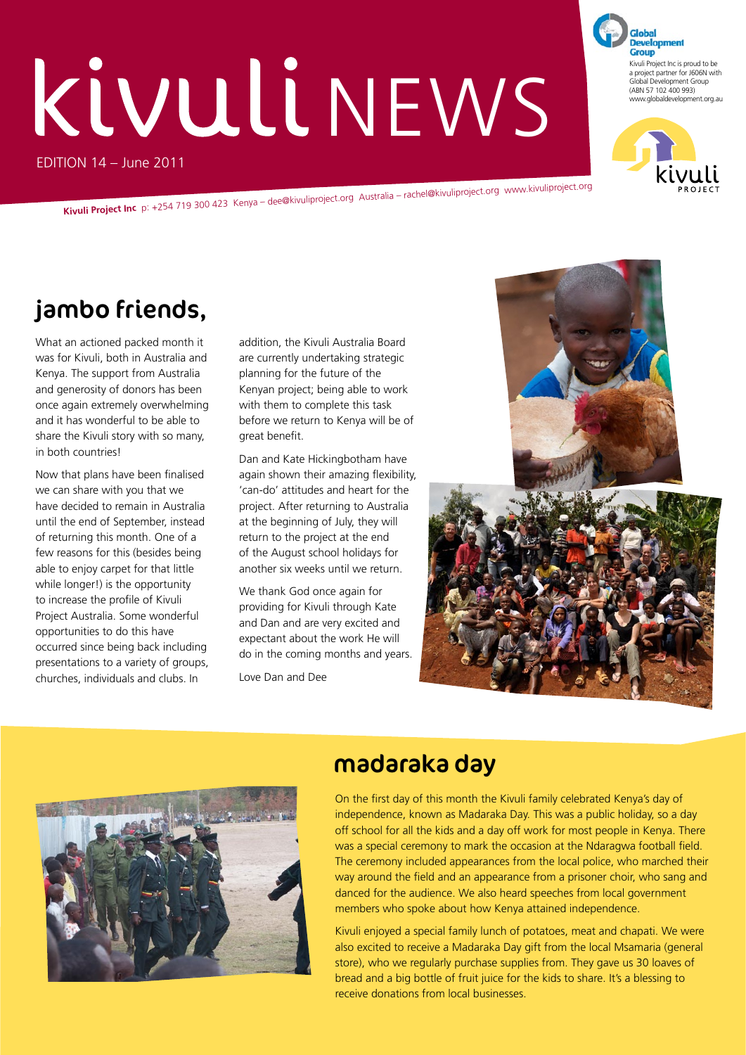# EDITION 14 – June 2011 KIVULI NEWS

**Kivuli Project Inc** p: +254 719 300 423 Kenya – dee@kivuliproject.org Australia – rachel@kivuliproject.org www.kivuliproject.org

# jambo friends,

What an actioned packed month it was for Kivuli, both in Australia and Kenya. The support from Australia and generosity of donors has been once again extremely overwhelming and it has wonderful to be able to share the Kivuli story with so many, in both countries!

Now that plans have been finalised we can share with you that we have decided to remain in Australia until the end of September, instead of returning this month. One of a few reasons for this (besides being able to enjoy carpet for that little while longer!) is the opportunity to increase the profile of Kivuli Project Australia. Some wonderful opportunities to do this have occurred since being back including presentations to a variety of groups, churches, individuals and clubs. In

addition, the Kivuli Australia Board are currently undertaking strategic planning for the future of the Kenyan project; being able to work with them to complete this task before we return to Kenya will be of great benefit.

Dan and Kate Hickingbotham have again shown their amazing flexibility, 'can-do' attitudes and heart for the project. After returning to Australia at the beginning of July, they will return to the project at the end of the August school holidays for another six weeks until we return.

We thank God once again for providing for Kivuli through Kate and Dan and are very excited and expectant about the work He will do in the coming months and years.

Love Dan and Dee





# madaraka day

On the first day of this month the Kivuli family celebrated Kenya's day of independence, known as Madaraka Day. This was a public holiday, so a day off school for all the kids and a day off work for most people in Kenya. There was a special ceremony to mark the occasion at the Ndaragwa football field. The ceremony included appearances from the local police, who marched their way around the field and an appearance from a prisoner choir, who sang and danced for the audience. We also heard speeches from local government members who spoke about how Kenya attained independence.

Kivuli enjoyed a special family lunch of potatoes, meat and chapati. We were also excited to receive a Madaraka Day gift from the local Msamaria (general store), who we regularly purchase supplies from. They gave us 30 loaves of bread and a big bottle of fruit juice for the kids to share. It's a blessing to receive donations from local businesses.

**Development Group** Kivuli Project Inc is proud to be a project partner for J606N with Global Development Group (ABN 57 102 400 993) www.globaldevelopment.org.au



\$IFFERENTVERSIONSOFTHELOGOHAVEBEENINCLUDEDTODEMONSTRATEITSFLEXIBILITY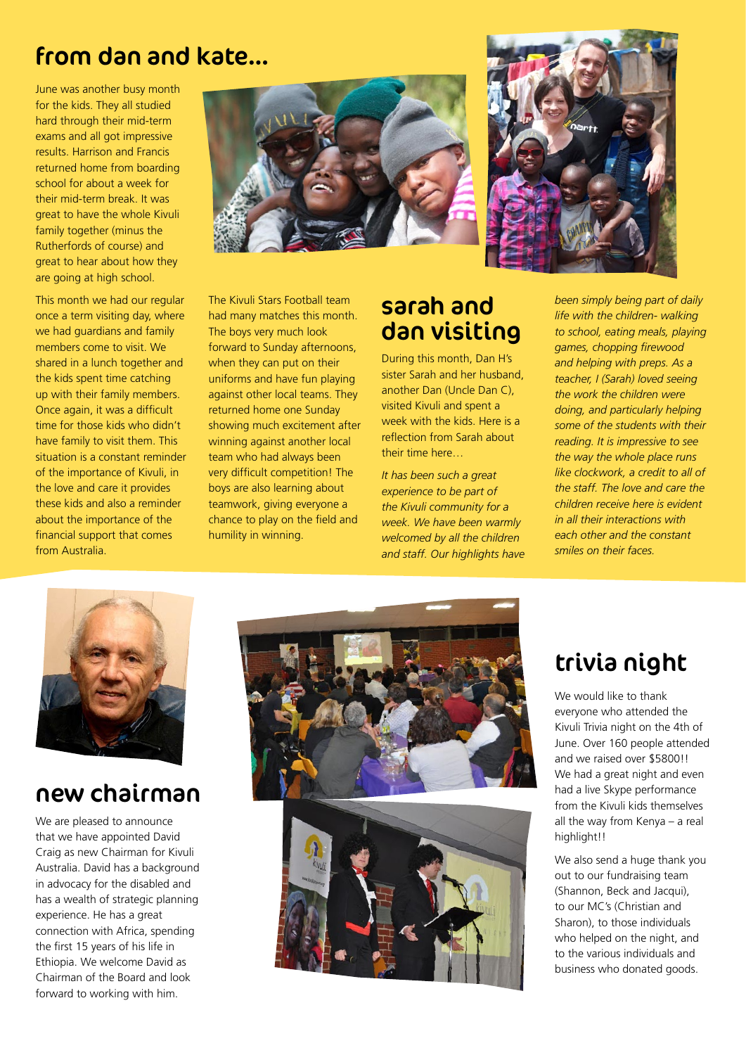### from dan and kate…

June was another busy month for the kids. They all studied hard through their mid-term exams and all got impressive results. Harrison and Francis returned home from boarding school for about a week for their mid-term break. It was great to have the whole Kivuli family together (minus the Rutherfords of course) and great to hear about how they are going at high school.

This month we had our regular once a term visiting day, where we had guardians and family members come to visit. We shared in a lunch together and the kids spent time catching up with their family members. Once again, it was a difficult time for those kids who didn't have family to visit them. This situation is a constant reminder of the importance of Kivuli, in the love and care it provides these kids and also a reminder about the importance of the financial support that comes from Australia.





The Kivuli Stars Football team had many matches this month. The boys very much look forward to Sunday afternoons, when they can put on their uniforms and have fun playing against other local teams. They returned home one Sunday showing much excitement after winning against another local team who had always been very difficult competition! The boys are also learning about teamwork, giving everyone a chance to play on the field and humility in winning.

### sarah and dan visiting

During this month, Dan H's sister Sarah and her husband, another Dan (Uncle Dan C), visited Kivuli and spent a week with the kids. Here is a reflection from Sarah about their time here…

*It has been such a great experience to be part of the Kivuli community for a week. We have been warmly welcomed by all the children and staff. Our highlights have*  *been simply being part of daily life with the children- walking to school, eating meals, playing games, chopping firewood and helping with preps. As a teacher, I (Sarah) loved seeing the work the children were doing, and particularly helping some of the students with their reading. It is impressive to see the way the whole place runs like clockwork, a credit to all of the staff. The love and care the children receive here is evident in all their interactions with each other and the constant smiles on their faces.*



## new chairman

We are pleased to announce that we have appointed David Craig as new Chairman for Kivuli Australia. David has a background in advocacy for the disabled and has a wealth of strategic planning experience. He has a great connection with Africa, spending the first 15 years of his life in Ethiopia. We welcome David as Chairman of the Board and look forward to working with him.





# trivia night

We would like to thank everyone who attended the Kivuli Trivia night on the 4th of June. Over 160 people attended and we raised over \$5800!! We had a great night and even had a live Skype performance from the Kivuli kids themselves all the way from Kenya – a real highlight!!

We also send a huge thank you out to our fundraising team (Shannon, Beck and Jacqui), to our MC's (Christian and Sharon), to those individuals who helped on the night, and to the various individuals and business who donated goods.